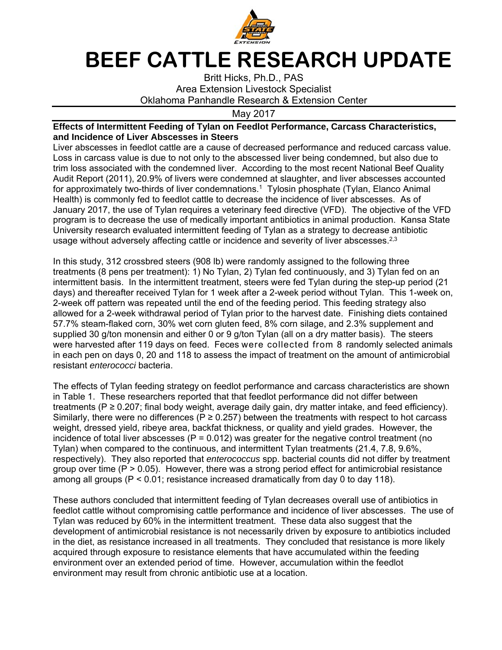

## **BEEF CATTLE RESEARCH UPDATE**

Britt Hicks, Ph.D., PAS Area Extension Livestock Specialist Oklahoma Panhandle Research & Extension Center

May 2017

## **Effects of Intermittent Feeding of Tylan on Feedlot Performance, Carcass Characteristics, and Incidence of Liver Abscesses in Steers**

Liver abscesses in feedlot cattle are a cause of decreased performance and reduced carcass value. Loss in carcass value is due to not only to the abscessed liver being condemned, but also due to trim loss associated with the condemned liver. According to the most recent National Beef Quality Audit Report (2011), 20.9% of livers were condemned at slaughter, and liver abscesses accounted for approximately two-thirds of liver condemnations.<sup>1</sup> Tylosin phosphate (Tylan, Elanco Animal Health) is commonly fed to feedlot cattle to decrease the incidence of liver abscesses. As of January 2017, the use of Tylan requires a veterinary feed directive (VFD). The objective of the VFD program is to decrease the use of medically important antibiotics in animal production. Kansa State University research evaluated intermittent feeding of Tylan as a strategy to decrease antibiotic usage without adversely affecting cattle or incidence and severity of liver abscesses.<sup>2,3</sup>

In this study, 312 crossbred steers (908 lb) were randomly assigned to the following three treatments (8 pens per treatment): 1) No Tylan, 2) Tylan fed continuously, and 3) Tylan fed on an intermittent basis. In the intermittent treatment, steers were fed Tylan during the step-up period (21 days) and thereafter received Tylan for 1 week after a 2-week period without Tylan. This 1-week on, 2-week off pattern was repeated until the end of the feeding period. This feeding strategy also allowed for a 2-week withdrawal period of Tylan prior to the harvest date. Finishing diets contained 57.7% steam-flaked corn, 30% wet corn gluten feed, 8% corn silage, and 2.3% supplement and supplied 30 g/ton monensin and either 0 or 9 g/ton Tylan (all on a dry matter basis). The steers were harvested after 119 days on feed. Feces were collected from 8 randomly selected animals in each pen on days 0, 20 and 118 to assess the impact of treatment on the amount of antimicrobial resistant *enterococci* bacteria.

The effects of Tylan feeding strategy on feedlot performance and carcass characteristics are shown in Table 1. These researchers reported that that feedlot performance did not differ between treatments ( $P \ge 0.207$ ; final body weight, average daily gain, dry matter intake, and feed efficiency). Similarly, there were no differences ( $P \ge 0.257$ ) between the treatments with respect to hot carcass weight, dressed yield, ribeye area, backfat thickness, or quality and yield grades. However, the incidence of total liver abscesses ( $P = 0.012$ ) was greater for the negative control treatment (no Tylan) when compared to the continuous, and intermittent Tylan treatments (21.4, 7.8, 9.6%, respectively). They also reported that *enterococcus* spp. bacterial counts did not differ by treatment group over time  $(P > 0.05)$ . However, there was a strong period effect for antimicrobial resistance among all groups ( $P < 0.01$ ; resistance increased dramatically from day 0 to day 118).

These authors concluded that intermittent feeding of Tylan decreases overall use of antibiotics in feedlot cattle without compromising cattle performance and incidence of liver abscesses. The use of Tylan was reduced by 60% in the intermittent treatment. These data also suggest that the development of antimicrobial resistance is not necessarily driven by exposure to antibiotics included in the diet, as resistance increased in all treatments. They concluded that resistance is more likely acquired through exposure to resistance elements that have accumulated within the feeding environment over an extended period of time. However, accumulation within the feedlot environment may result from chronic antibiotic use at a location.